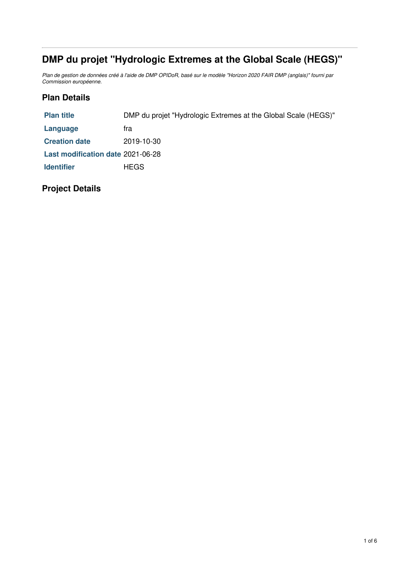# **DMP du projet "Hydrologic Extremes at the Global Scale (HEGS)"**

Plan de gestion de données créé à l'aide de DMP OPIDoR, basé sur le modèle "Horizon 2020 FAIR DMP (anglais)" fourni par *Commission européenne.*

## **Plan Details**

| <b>Plan title</b>                 | DMP du projet "Hydrologic Extremes at the Global Scale (HEGS)" |
|-----------------------------------|----------------------------------------------------------------|
| Language                          | tra                                                            |
| <b>Creation date</b>              | 2019-10-30                                                     |
| Last modification date 2021-06-28 |                                                                |
| <b>Identifier</b>                 | <b>HEGS</b>                                                    |
|                                   |                                                                |

# **Project Details**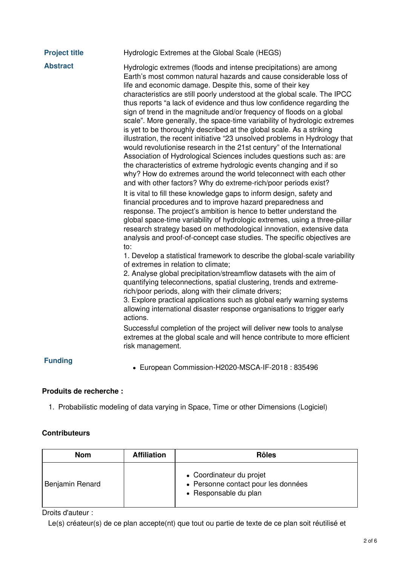| <b>Project title</b> | Hydrologic Extremes at the Global Scale (HEGS)                                                                                                                                                                                                                                                                                                                                                                                                                                                                                                                                                                                                                                                                                                                                                                                                                                                                                                                                                                                            |
|----------------------|-------------------------------------------------------------------------------------------------------------------------------------------------------------------------------------------------------------------------------------------------------------------------------------------------------------------------------------------------------------------------------------------------------------------------------------------------------------------------------------------------------------------------------------------------------------------------------------------------------------------------------------------------------------------------------------------------------------------------------------------------------------------------------------------------------------------------------------------------------------------------------------------------------------------------------------------------------------------------------------------------------------------------------------------|
| <b>Abstract</b>      | Hydrologic extremes (floods and intense precipitations) are among<br>Earth's most common natural hazards and cause considerable loss of<br>life and economic damage. Despite this, some of their key<br>characteristics are still poorly understood at the global scale. The IPCC<br>thus reports "a lack of evidence and thus low confidence regarding the<br>sign of trend in the magnitude and/or frequency of floods on a global<br>scale". More generally, the space-time variability of hydrologic extremes<br>is yet to be thoroughly described at the global scale. As a striking<br>illustration, the recent initiative "23 unsolved problems in Hydrology that<br>would revolutionise research in the 21st century" of the International<br>Association of Hydrological Sciences includes questions such as: are<br>the characteristics of extreme hydrologic events changing and if so<br>why? How do extremes around the world teleconnect with each other<br>and with other factors? Why do extreme-rich/poor periods exist? |
|                      | It is vital to fill these knowledge gaps to inform design, safety and<br>financial procedures and to improve hazard preparedness and<br>response. The project's ambition is hence to better understand the<br>global space-time variability of hydrologic extremes, using a three-pillar<br>research strategy based on methodological innovation, extensive data<br>analysis and proof-of-concept case studies. The specific objectives are<br>to:                                                                                                                                                                                                                                                                                                                                                                                                                                                                                                                                                                                        |
|                      | 1. Develop a statistical framework to describe the global-scale variability<br>of extremes in relation to climate;<br>2. Analyse global precipitation/streamflow datasets with the aim of<br>quantifying teleconnections, spatial clustering, trends and extreme-<br>rich/poor periods, along with their climate drivers;<br>3. Explore practical applications such as global early warning systems                                                                                                                                                                                                                                                                                                                                                                                                                                                                                                                                                                                                                                       |
|                      | allowing international disaster response organisations to trigger early<br>actions.                                                                                                                                                                                                                                                                                                                                                                                                                                                                                                                                                                                                                                                                                                                                                                                                                                                                                                                                                       |
|                      | Successful completion of the project will deliver new tools to analyse<br>extremes at the global scale and will hence contribute to more efficient<br>risk management.                                                                                                                                                                                                                                                                                                                                                                                                                                                                                                                                                                                                                                                                                                                                                                                                                                                                    |

# **Funding**

European Commission-H2020-MSCA-IF-2018 : 835496

### **Produits de recherche :**

1. Probabilistic modeling of data varying in Space, Time or other Dimensions (Logiciel)

### **Contributeurs**

| <b>Nom</b>      | <b>Affiliation</b> | <b>Rôles</b>                                                                             |
|-----------------|--------------------|------------------------------------------------------------------------------------------|
| Benjamin Renard |                    | • Coordinateur du projet<br>• Personne contact pour les données<br>• Responsable du plan |

Droits d'auteur :

Le(s) créateur(s) de ce plan accepte(nt) que tout ou partie de texte de ce plan soit réutilisé et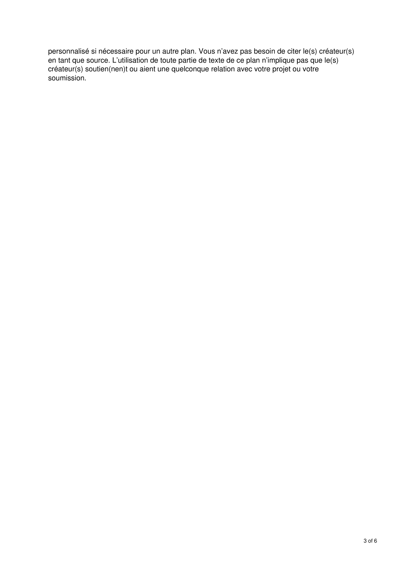personnalisé si nécessaire pour un autre plan. Vous n'avez pas besoin de citer le(s) créateur(s) en tant que source. L'utilisation de toute partie de texte de ce plan n'implique pas que le(s) créateur(s) soutien(nen)t ou aient une quelconque relation avec votre projet ou votre soumission.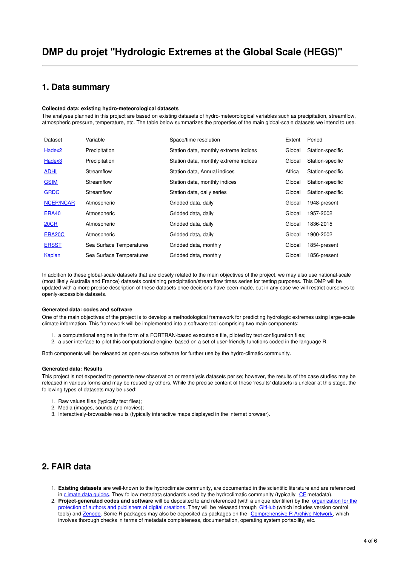### **1. Data summary**

#### **Collected data: existing hydro-meteorological datasets**

The analyses planned in this project are based on existing datasets of hydro-meteorological variables such as precipitation, streamflow, atmospheric pressure, temperature, etc. The table below summarizes the properties of the main global-scale datasets we intend to use.

| Dataset            | Variable                 | Space/time resolution                 | Extent | Period           |
|--------------------|--------------------------|---------------------------------------|--------|------------------|
| Hadex <sub>2</sub> | Precipitation            | Station data, monthly extreme indices | Global | Station-specific |
| Hadex <sub>3</sub> | Precipitation            | Station data, monthly extreme indices | Global | Station-specific |
| <b>ADHI</b>        | Streamflow               | Station data, Annual indices          | Africa | Station-specific |
| <b>GSIM</b>        | Streamflow               | Station data, monthly indices         | Global | Station-specific |
| <b>GRDC</b>        | Streamflow               | Station data, daily series            | Global | Station-specific |
| <b>NCEP/NCAR</b>   | Atmospheric              | Gridded data, daily                   | Global | 1948-present     |
| ERA40              | Atmospheric              | Gridded data, daily                   | Global | 1957-2002        |
| <b>20CR</b>        | Atmospheric              | Gridded data, daily                   | Global | 1836-2015        |
| ERA20C             | Atmospheric              | Gridded data, daily                   | Global | 1900-2002        |
| <b>ERSST</b>       | Sea Surface Temperatures | Gridded data, monthly                 | Global | 1854-present     |
| <b>Kaplan</b>      | Sea Surface Temperatures | Gridded data, monthly                 | Global | 1856-present     |

In addition to these global-scale datasets that are closely related to the main objectives of the project, we may also use national-scale (most likely Australia and France) datasets containing precipitation/streamflow times series for testing purposes. This DMP will be updated with a more precise description of these datasets once decisions have been made, but in any case we will restrict ourselves to openly-accessible datasets.

#### **Generated data: codes and software**

One of the main objectives of the project is to develop a methodological framework for predicting hydrologic extremes using large-scale climate information. This framework will be implemented into a software tool comprising two main components:

- 1. a computational engine in the form of a FORTRAN-based executable file, piloted by text configuration files;
- 2. a user interface to pilot this computational engine, based on a set of user-friendly functions coded in the language R.

Both components will be released as open-source software for further use by the hydro-climatic community.

#### **Generated data: Results**

This project is not expected to generate new observation or reanalysis datasets per se; however, the results of the case studies may be released in various forms and may be reused by others. While the precise content of these 'results' datasets is unclear at this stage, the following types of datasets may be used:

- 1. Raw values files (typically text files);
- 2. Media (images, sounds and movies);
- 3. Interactively-browsable results (typically interactive maps displayed in the internet browser).

### **2. FAIR data**

- 1. **Existing datasets** are well-known to the hydroclimate community, are documented in the scientific literature and are referenced in [climate](https://climatedataguide.ucar.edu/) data guides. They follow metadata standards used by the hydroclimatic community (typically [CF](http://rd-alliance.github.io/metadata-directory/standards/cf-climate-and-forecast-metadata-conventions.html) metadata).
- 2. **[Project-generated](https://www.app.asso.fr/en) codes and software** will be deposited to and referenced (with a unique identifier) by the organization for the protection of authors and publishers of digital creations. They will be released through [GitHub](https://github.com/benRenard) (which includes version control tools) and **[Zenodo](https://zenodo.org)**. Some R packages may also be deposited as packages on the **[Comprehensive](https://cran.r-project.org/) R Archive Network**, which involves thorough checks in terms of metadata completeness, documentation, operating system portability, etc.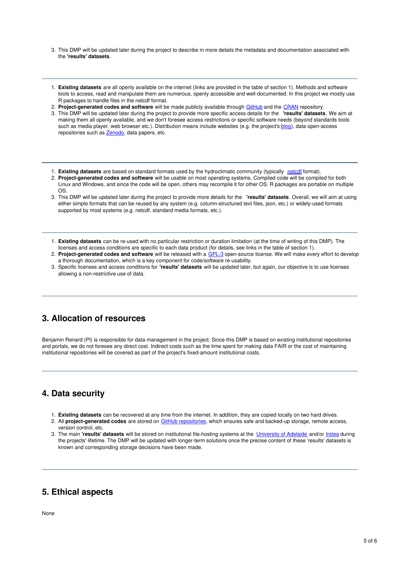- 3. This DMP will be updated later during the project to describe in more details the metadata and documentation associated with the **'results' datasets**.
- 1. **Existing datasets** are all openly available on the internet (links are provided in the table of section 1). Methods and software tools to access, read and manipulate them are numerous, openly accessible and well-documented. In this project we mostly use R packages to handle files in the netcdf format.
- 2. **Project-generated codes and software** will be made publicly available through [GitHub](https://github.com/benRenard) and the [CRAN](https://cran.r-project.org/) repository.
- 3. This DMP will be updated later during the project to provide more specific access details for the **'results' datasets**. We aim at making them all openly available, and we don't foresee access restrictions or specific software needs (beyond standards tools such as media player, web browser etc.). Distribution means include websites (e.g. the project's [blog](https://globxblog.irstea.fr/)), data open-access repositories such as **[Zenodo](https://zenodo.org/)**, data papers, etc.
- 1. **Existing datasets** are based on standard formats used by the hydroclimatic community (typically [netcdf](https://www.unidata.ucar.edu/software/netcdf/index.html) format).
- 2. **Project-generated codes and software** will be usable on most operating systems. Compiled code will be compiled for both Linux and Windows, and since the code will be open, others may recompile it for other OS. R packages are portable on multiple OS.
- 3. This DMP will be updated later during the project to provide more details for the **'results' datasets**. Overall, we will aim at using either simple formats that can be reused by any system (e.g. column-structured text files, json, etc.) or widely-used formats supported by most systems (e.g. netcdf, standard media formats, etc.).
- 1. **Existing datasets** can be re-used with no particular restriction or duration limitation (at the time of writing of this DMP). The licenses and access conditions are specific to each data product (for details, see links in the table of section 1).
- 2. **Project-generated codes and software** will be released with a [GPL-3](https://www.gnu.org/licenses/gpl-3.0.en.html) open-source license. We will make every effort to develop a thorough documentation, which is a key component for code/software re-usability.
- 3. Specific licenses and access conditions for **'results' datasets** will be updated later, but again, our objective is to use licenses allowing a non-restrictive use of data.

### **3. Allocation of resources**

Benjamin Renard (PI) is responsible for data management in the project. Since this DMP is based on existing institutional repositories and portals, we do not foresee any direct cost. Indirect costs such as the time spent for making data FAIR or the cost of maintaining institutional repositories will be covered as part of the project's fixed-amount institutional costs.

### **4. Data security**

- 1. **Existing datasets** can be recovered at any time from the internet. In addition, they are copied locally on two hard drives.
- 2. All **project-generated codes** are stored on GitHub [repositories](https://github.com/benRenard), which ensures safe and backed-up storage, remote access, version control, etc.
- 3. The main **'results' datasets** will be stored on institutional file-hosting systems at the [University](https://universityofadelaide.account.box.com/) of Adelaide and/or [Irstea](https://stratus.irstea.fr/) during the projects' lifetime. The DMP will be updated with longer-term solutions once the precise content of these 'results' datasets is known and corresponding storage decisions have been made.

### **5. Ethical aspects**